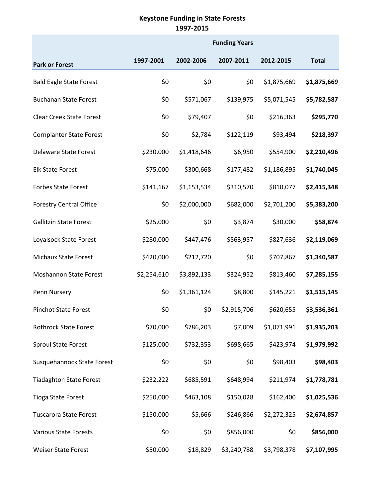## **Keystone Funding in State Forests 1997-2015**

|                                 | <b>Funding Years</b> |             |             |             |              |  |
|---------------------------------|----------------------|-------------|-------------|-------------|--------------|--|
| <b>Park or Forest</b>           | 1997-2001            | 2002-2006   | 2007-2011   | 2012-2015   | <b>Total</b> |  |
| <b>Bald Eagle State Forest</b>  | \$0                  | \$0         | \$0         | \$1,875,669 | \$1,875,669  |  |
| <b>Buchanan State Forest</b>    | \$0                  | \$571,067   | \$139,975   | \$5,071,545 | \$5,782,587  |  |
| <b>Clear Creek State Forest</b> | \$0                  | \$79,407    | \$0         | \$216,363   | \$295,770    |  |
| <b>Cornplanter State Forest</b> | \$0                  | \$2,784     | \$122,119   | \$93,494    | \$218,397    |  |
| <b>Delaware State Forest</b>    | \$230,000            | \$1,418,646 | \$6,950     | \$554,900   | \$2,210,496  |  |
| <b>Elk State Forest</b>         | \$75,000             | \$300,668   | \$177,482   | \$1,186,895 | \$1,740,045  |  |
| <b>Forbes State Forest</b>      | \$141,167            | \$1,153,534 | \$310,570   | \$810,077   | \$2,415,348  |  |
| <b>Forestry Central Office</b>  | \$0                  | \$2,000,000 | \$682,000   | \$2,701,200 | \$5,383,200  |  |
| <b>Gallitzin State Forest</b>   | \$25,000             | \$0         | \$3,874     | \$30,000    | \$58,874     |  |
| Loyalsock State Forest          | \$280,000            | \$447,476   | \$563,957   | \$827,636   | \$2,119,069  |  |
| Michaux State Forest            | \$420,000            | \$212,720   | \$0         | \$707,867   | \$1,340,587  |  |
| <b>Moshannon State Forest</b>   | \$2,254,610          | \$3,892,133 | \$324,952   | \$813,460   | \$7,285,155  |  |
| Penn Nursery                    | \$0                  | \$1,361,124 | \$8,800     | \$145,221   | \$1,515,145  |  |
| <b>Pinchot State Forest</b>     | \$0                  | \$0         | \$2,915,706 | \$620,655   | \$3,536,361  |  |
| <b>Rothrock State Forest</b>    | \$70,000             | \$786,203   | \$7,009     | \$1,071,991 | \$1,935,203  |  |
| <b>Sproul State Forest</b>      | \$125,000            | \$732,353   | \$698,665   | \$423,974   | \$1,979,992  |  |
| Susquehannock State Forest      | \$0                  | \$0         | \$0         | \$98,403    | \$98,403     |  |
| <b>Tiadaghton State Forest</b>  | \$232,222            | \$685,591   | \$648,994   | \$211,974   | \$1,778,781  |  |
| <b>Tioga State Forest</b>       | \$250,000            | \$463,108   | \$150,028   | \$162,400   | \$1,025,536  |  |
| <b>Tuscarora State Forest</b>   | \$150,000            | \$5,666     | \$246,866   | \$2,272,325 | \$2,674,857  |  |
| <b>Various State Forests</b>    | \$0                  | \$0         | \$856,000   | \$0         | \$856,000    |  |
| Weiser State Forest             | \$50,000             | \$18,829    | \$3,240,788 | \$3,798,378 | \$7,107,995  |  |